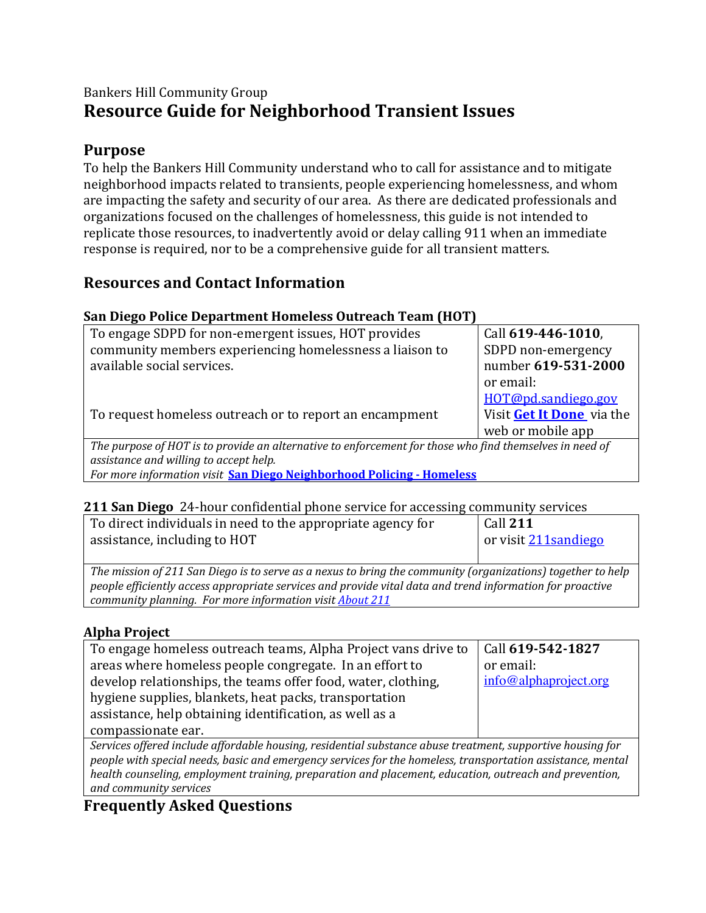# Bankers Hill Community Group **Resource Guide for Neighborhood Transient Issues**

## **Purpose**

To help the Bankers Hill Community understand who to call for assistance and to mitigate neighborhood impacts related to transients, people experiencing homelessness, and whom are impacting the safety and security of our area. As there are dedicated professionals and organizations focused on the challenges of homelessness, this guide is not intended to replicate those resources, to inadvertently avoid or delay calling 911 when an immediate response is required, nor to be a comprehensive guide for all transient matters.

## **Resources and Contact Information**

## **San Diego Police Department Homeless Outreach Team (HOT)**

| To engage SDPD for non-emergent issues, HOT provides                                                    | Call 619-446-1010,        |  |
|---------------------------------------------------------------------------------------------------------|---------------------------|--|
| community members experiencing homelessness a liaison to                                                | SDPD non-emergency        |  |
| available social services.                                                                              | number 619-531-2000       |  |
|                                                                                                         | or email:                 |  |
|                                                                                                         | HOT@pd.sandiego.gov       |  |
| To request homeless outreach or to report an encampment                                                 | Visit Get It Done via the |  |
|                                                                                                         | web or mobile app         |  |
| The purpose of HOT is to provide an alternative to enforcement for those who find themselves in need of |                           |  |
| assistance and willing to accept help.                                                                  |                           |  |
| For more information visit San Diego Neighborhood Policing - Homeless                                   |                           |  |

### **211 San Diego** 24-hour confidential phone service for accessing community services

| To direct individuals in need to the appropriate agency for                                                 | Call 211              |  |
|-------------------------------------------------------------------------------------------------------------|-----------------------|--|
| assistance, including to HOT                                                                                | or visit 211 sandiego |  |
|                                                                                                             |                       |  |
| The mission of 211 San Diego is to serve as a nexus to bring the community (organizations) together to help |                       |  |
| people efficiently access appropriate services and provide vital data and trend information for proactive   |                       |  |

*community planning. For more information visit <i>About* 211

## **Alpha Project**

| To engage homeless outreach teams, Alpha Project vans drive to                                              | Call 619-542-1827     |  |
|-------------------------------------------------------------------------------------------------------------|-----------------------|--|
| areas where homeless people congregate. In an effort to                                                     | or email:             |  |
| develop relationships, the teams offer food, water, clothing,                                               | info@alphaproject.org |  |
| hygiene supplies, blankets, heat packs, transportation                                                      |                       |  |
| assistance, help obtaining identification, as well as a                                                     |                       |  |
| compassionate ear.                                                                                          |                       |  |
| Services offered include affordable housing, residential substance abuse treatment, supportive housing for  |                       |  |
| people with special needs, basic and emergency services for the homeless, transportation assistance, mental |                       |  |
| health counseling, employment training, preparation and placement, education, outreach and prevention,      |                       |  |
| and community services                                                                                      |                       |  |

# **Frequently Asked Questions**